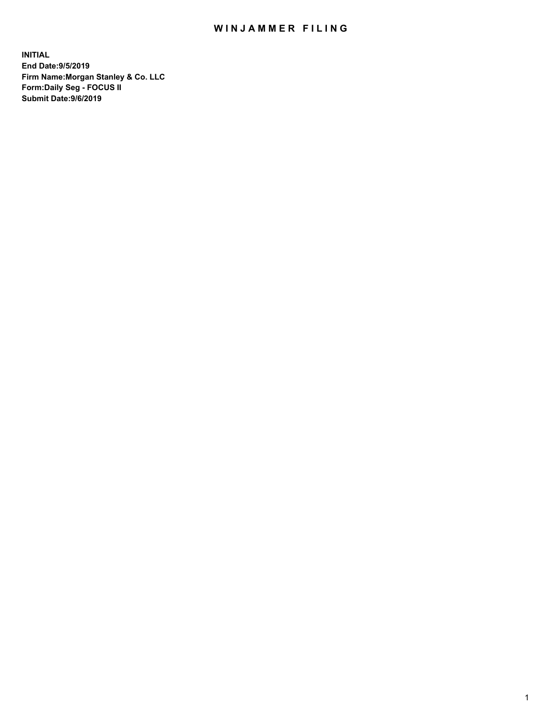## WIN JAMMER FILING

**INITIAL End Date:9/5/2019 Firm Name:Morgan Stanley & Co. LLC Form:Daily Seg - FOCUS II Submit Date:9/6/2019**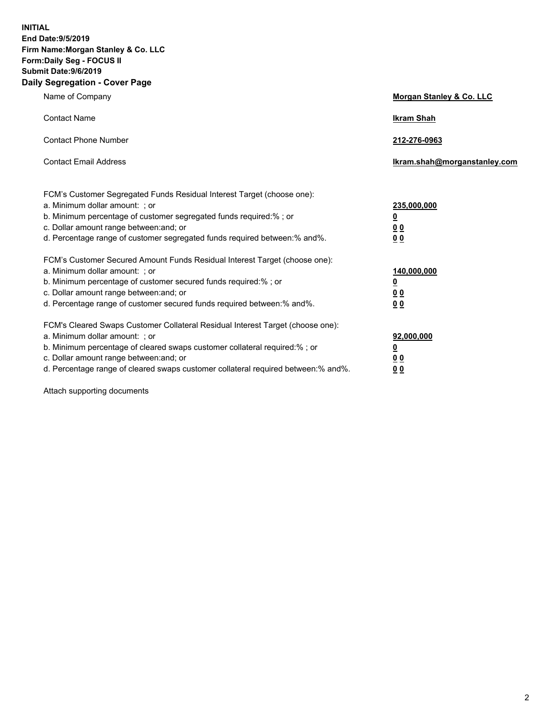**INITIAL End Date:9/5/2019 Firm Name:Morgan Stanley & Co. LLC Form:Daily Seg - FOCUS II Submit Date:9/6/2019 Daily Segregation - Cover Page**

| Name of Company                                                                                                                                                                                                                                                                                                                | Morgan Stanley & Co. LLC                                    |
|--------------------------------------------------------------------------------------------------------------------------------------------------------------------------------------------------------------------------------------------------------------------------------------------------------------------------------|-------------------------------------------------------------|
| <b>Contact Name</b>                                                                                                                                                                                                                                                                                                            | <b>Ikram Shah</b>                                           |
| <b>Contact Phone Number</b>                                                                                                                                                                                                                                                                                                    | 212-276-0963                                                |
| <b>Contact Email Address</b>                                                                                                                                                                                                                                                                                                   | Ikram.shah@morganstanley.com                                |
| FCM's Customer Segregated Funds Residual Interest Target (choose one):<br>a. Minimum dollar amount: ; or<br>b. Minimum percentage of customer segregated funds required:% ; or<br>c. Dollar amount range between: and; or<br>d. Percentage range of customer segregated funds required between:% and%.                         | 235,000,000<br><u>0</u><br>00<br>0 <sub>0</sub>             |
| FCM's Customer Secured Amount Funds Residual Interest Target (choose one):<br>a. Minimum dollar amount: ; or<br>b. Minimum percentage of customer secured funds required:%; or<br>c. Dollar amount range between: and; or<br>d. Percentage range of customer secured funds required between:% and%.                            | 140,000,000<br><u>0</u><br>0 <sub>0</sub><br>0 <sub>0</sub> |
| FCM's Cleared Swaps Customer Collateral Residual Interest Target (choose one):<br>a. Minimum dollar amount: ; or<br>b. Minimum percentage of cleared swaps customer collateral required:% ; or<br>c. Dollar amount range between: and; or<br>d. Percentage range of cleared swaps customer collateral required between:% and%. | 92,000,000<br><u>0</u><br>0 Q<br>0 <sub>0</sub>             |

Attach supporting documents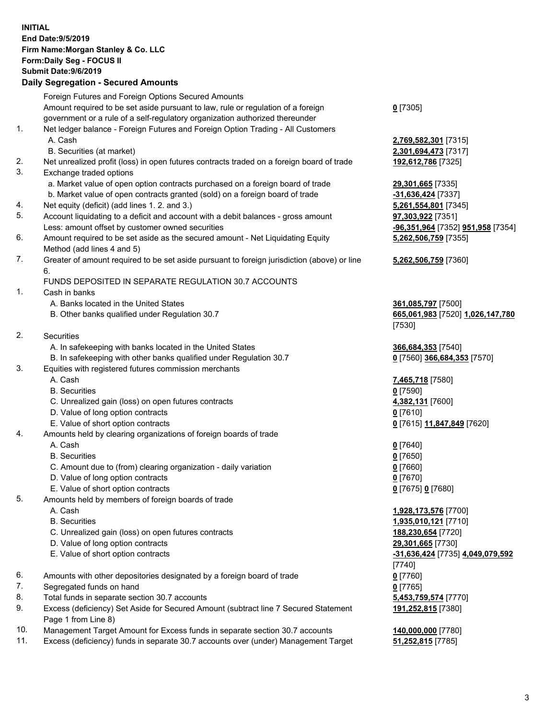## **INITIAL End Date:9/5/2019 Firm Name:Morgan Stanley & Co. LLC Form:Daily Seg - FOCUS II Submit Date:9/6/2019 Daily Segregation - Secured Amounts** Foreign Futures and Foreign Options Secured Amounts Amount required to be set aside pursuant to law, rule or regulation of a foreign government or a rule of a self-regulatory organization authorized thereunder 1. Net ledger balance - Foreign Futures and Foreign Option Trading - All Customers A. Cash **2,769,582,301** [7315] B. Securities (at market) **2,301,694,473** [7317] 2. Net unrealized profit (loss) in open futures contracts traded on a foreign board of trade **192,612,786** [7325] 3. Exchange traded options a. Market value of open option contracts purchased on a foreign board of trade **29,301,665** [7335] b. Market value of open contracts granted (sold) on a foreign board of trade **-31,636,424** [7337] 4. Net equity (deficit) (add lines 1. 2. and 3.) **5,261,554,801** [7345] 5. Account liquidating to a deficit and account with a debit balances - gross amount **97,303,922** [7351] Less: amount offset by customer owned securities **-96,351,964** [7352] **951,958** [7354] 6. Amount required to be set aside as the secured amount - Net Liquidating Equity Method (add lines 4 and 5) 7. Greater of amount required to be set aside pursuant to foreign jurisdiction (above) or line 6. FUNDS DEPOSITED IN SEPARATE REGULATION 30.7 ACCOUNTS 1. Cash in banks A. Banks located in the United States **361,085,797** [7500] B. Other banks qualified under Regulation 30.7 **665,061,983** [7520] **1,026,147,780** 2. Securities A. In safekeeping with banks located in the United States **366,684,353** [7540] B. In safekeeping with other banks qualified under Regulation 30.7 **0** [7560] **366,684,353** [7570] 3. Equities with registered futures commission merchants A. Cash **7,465,718** [7580] B. Securities **0** [7590] C. Unrealized gain (loss) on open futures contracts **4,382,131** [7600] D. Value of long option contracts **0** [7610] E. Value of short option contracts **0** [7615] **11,847,849** [7620] 4. Amounts held by clearing organizations of foreign boards of trade A. Cash **0** [7640] B. Securities **0** [7650] C. Amount due to (from) clearing organization - daily variation **0** [7660] D. Value of long option contracts **0** [7670] E. Value of short option contracts **0** [7675] **0** [7680] 5. Amounts held by members of foreign boards of trade

- 
- 
- C. Unrealized gain (loss) on open futures contracts **188,230,654** [7720]
- D. Value of long option contracts **29,301,665** [7730]
- 
- 6. Amounts with other depositories designated by a foreign board of trade **0** [7760]
- 7. Segregated funds on hand **0** [7765]
- 8. Total funds in separate section 30.7 accounts **5,453,759,574** [7770]
- 9. Excess (deficiency) Set Aside for Secured Amount (subtract line 7 Secured Statement Page 1 from Line 8)
- 10. Management Target Amount for Excess funds in separate section 30.7 accounts **140,000,000** [7780]
- 11. Excess (deficiency) funds in separate 30.7 accounts over (under) Management Target **51,252,815** [7785]

**0** [7305]

**5,262,506,759** [7355]

## **5,262,506,759** [7360]

[7530]

 A. Cash **1,928,173,576** [7700] B. Securities **1,935,010,121** [7710] E. Value of short option contracts **-31,636,424** [7735] **4,049,079,592** [7740] **191,252,815** [7380]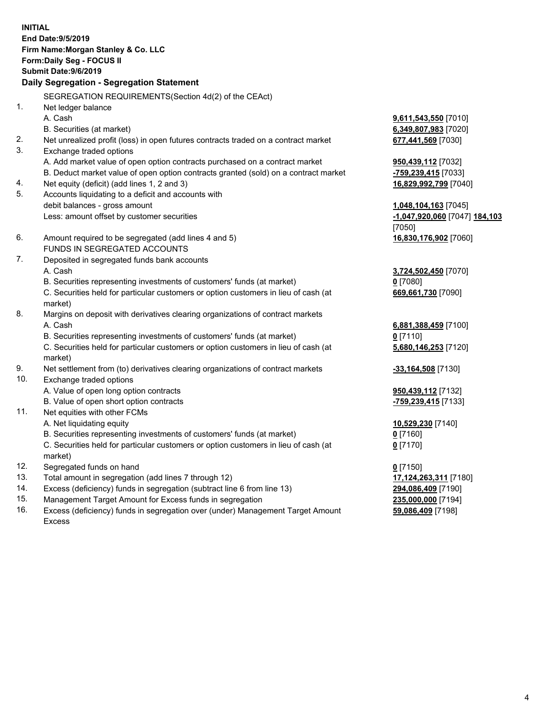**INITIAL End Date:9/5/2019 Firm Name:Morgan Stanley & Co. LLC Form:Daily Seg - FOCUS II Submit Date:9/6/2019 Daily Segregation - Segregation Statement** SEGREGATION REQUIREMENTS(Section 4d(2) of the CEAct) 1. Net ledger balance A. Cash **9,611,543,550** [7010] B. Securities (at market) **6,349,807,983** [7020] 2. Net unrealized profit (loss) in open futures contracts traded on a contract market **677,441,569** [7030] 3. Exchange traded options A. Add market value of open option contracts purchased on a contract market **950,439,112** [7032] B. Deduct market value of open option contracts granted (sold) on a contract market **-759,239,415** [7033] 4. Net equity (deficit) (add lines 1, 2 and 3) **16,829,992,799** [7040] 5. Accounts liquidating to a deficit and accounts with debit balances - gross amount **1,048,104,163** [7045] Less: amount offset by customer securities **-1,047,920,060** [7047] **184,103** [7050] 6. Amount required to be segregated (add lines 4 and 5) **16,830,176,902** [7060] FUNDS IN SEGREGATED ACCOUNTS 7. Deposited in segregated funds bank accounts A. Cash **3,724,502,450** [7070] B. Securities representing investments of customers' funds (at market) **0** [7080] C. Securities held for particular customers or option customers in lieu of cash (at market) **669,661,730** [7090] 8. Margins on deposit with derivatives clearing organizations of contract markets A. Cash **6,881,388,459** [7100] B. Securities representing investments of customers' funds (at market) **0** [7110] C. Securities held for particular customers or option customers in lieu of cash (at market) **5,680,146,253** [7120] 9. Net settlement from (to) derivatives clearing organizations of contract markets **-33,164,508** [7130] 10. Exchange traded options A. Value of open long option contracts **950,439,112** [7132] B. Value of open short option contracts **-759,239,415** [7133] 11. Net equities with other FCMs A. Net liquidating equity **10,529,230** [7140] B. Securities representing investments of customers' funds (at market) **0** [7160] C. Securities held for particular customers or option customers in lieu of cash (at market) **0** [7170] 12. Segregated funds on hand **0** [7150] 13. Total amount in segregation (add lines 7 through 12) **17,124,263,311** [7180] 14. Excess (deficiency) funds in segregation (subtract line 6 from line 13) **294,086,409** [7190] 15. Management Target Amount for Excess funds in segregation **235,000,000** [7194]

16. Excess (deficiency) funds in segregation over (under) Management Target Amount Excess

**59,086,409** [7198]